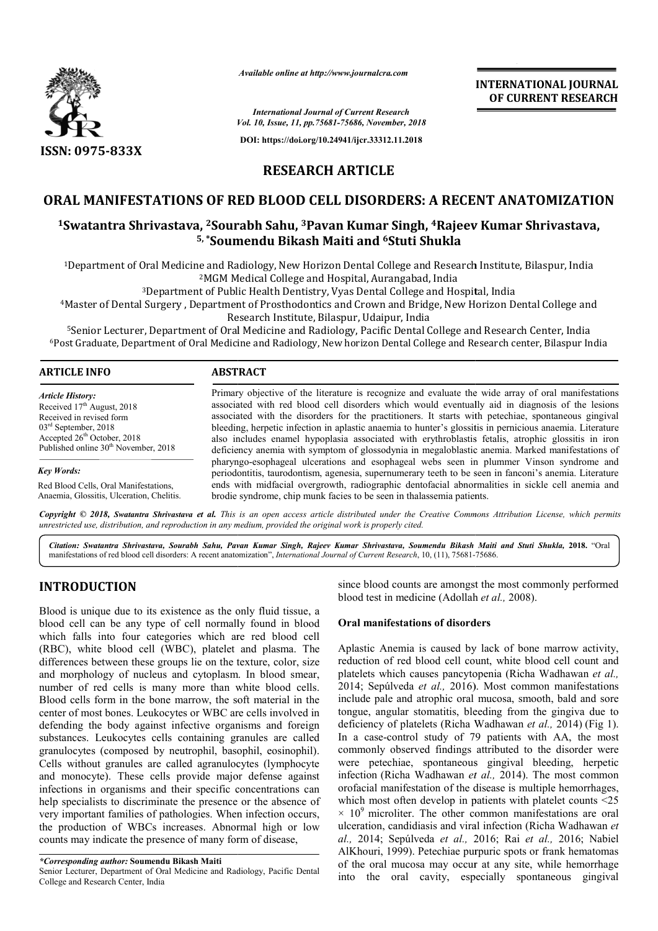

*Available online at http://www.journalcra.com*

*Vol. 10, Issue, 11, pp.75681-75686, November, 2018 International Journal of Current Research*

**DOI: https://doi.org/10.24941/ijcr.33312.11.2018**

**INTERNATIONAL JOURNAL OF CURRENT RESEARCH**

**RESEARCH ARTICLE**

## **ORAL MANIFESTATIONS OF RED BLOOD CELL DISORDERS: A RECENT ANATOMIZATION**

# RAL MANIFESTATIONS OF RED BLOOD CELL DISORDERS: A RECENT ANATOMIZATIO<br><sup>1</sup>Swatantra Shrivastava, <sup>2</sup>Sourabh Sahu, <sup>3</sup>Pavan Kumar Singh, <sup>4</sup>Rajeev Kumar Shrivastava, **5, \*Soumendu Bikash Maiti and Soumendu 6Stuti Shukla**

 $^{4}$ Department of Oral Medicine and Radiology, New Horizon Dental College and Research Institute, Bilaspur, India  $^{2}$ MGM Medical College and Hospital, Aurangabad, India  $^{3}$ Department of Public Health Dentistry, Vyas <sup>2</sup>MGM Medical College and Hospital, Aurangabad, India

<sup>3</sup>Department of Public Health Dentistry, Vyas Dental College and Hospital

4Master of Dental Surgery , Department of Prosthodontics and Crown and Bridge, New Horizon Dental College and Master Udaipur, India

Research Institute, Bilaspur,

Master of Dental Surgery , Department of Prosthodontics and Crown and Bridge, New Horizon Dental College an<br>Research Institute, Bilaspur, Udaipur, India<br><sup>5</sup>Senior Lecturer, Department of Oral Medicine and Radiology, Pacifi 6Post Graduate, Department of Oral Medicine and Radiology, New horizon Dental College and Research center, Bilaspur India

| <b>ARTICLE INFO</b>                                                                                                                                                                                | <b>ABSTRACT</b>                                                                                                                                                                                                                                                                                                                                                                                                                                                                                                                                                                                                                                                                                                                                      |
|----------------------------------------------------------------------------------------------------------------------------------------------------------------------------------------------------|------------------------------------------------------------------------------------------------------------------------------------------------------------------------------------------------------------------------------------------------------------------------------------------------------------------------------------------------------------------------------------------------------------------------------------------------------------------------------------------------------------------------------------------------------------------------------------------------------------------------------------------------------------------------------------------------------------------------------------------------------|
| <b>Article History:</b><br>Received $17th$ August, 2018<br>Received in revised form<br>$03rd$ September, 2018<br>Accepted $26th$ October, 2018<br>Published online 30 <sup>th</sup> November, 2018 | Primary objective of the literature is recognize and evaluate the wide array of oral manifestations<br>associated with red blood cell disorders which would eventually aid in diagnosis of the lesions<br>associated with the disorders for the practitioners. It starts with petechiae, spontaneous gingival<br>bleeding, herpetic infection in aplastic anaemia to hunter's glossitis in pernicious anaemia. Literature<br>also includes enamel hypoplasia associated with erythroblastis fetalis, atrophic glossitis in iron<br>deficiency anemia with symptom of glossodynia in megaloblastic anemia. Marked manifestations of<br>the manded according of the matters and the colored control of the final control of Mineral conductors and the |

*Key Words:*

Red Blood Cells, Oral Manifestations, Anaemia, Glossitis, Ulceration, Chelitis.

pharyngo pharyngo-esophageal ulcerations and esophageal webs seen in plummer Vinson syndrome and periodontitis, taurodontism, agenesia, supernumerary teeth to be seen in fanconi's anemia. Literature ends with midfacial overgrowth, radiographic dentofacial abnormalities in sickle cell anemia and brodie syndrome, chip munk facies to be seen in thalassemia patients. associated with the disorders for the practitioners. It starts with petechiae, spontaneous gingival<br>bleeding, herpetic infection in aplastic anaemia to hunter's glossitis in pernicious anaemia. Literature<br>also includes ena

Copyright © 2018, Swatantra Shrivastava et al. This is an open access article distributed under the Creative Commons Attribution License, which permits *unrestricted use, distribution, and reproduction in any medium, provided the original work is properly cited.*

*Citation: Swatantra Shrivastava, Sourabh Sahu, Pavan Kumar Singh, Rajeev Kumar Shrivastava, Soumendu Bikash Maiti and Sahu, Stuti Shukla,* **2018.** "Oral manifestations of red blood cell disorders: A recent anatomization", *International Journal of Current Research*, 10, (11), 75681-75686.

# **INTRODUCTION**

Blood is unique due to its existence as the only fluid tissue, a blood cell can be any type of cell normally found in blood which falls into four categories which are red blood cell (RBC), white blood cell (WBC), platelet and plasma. The differences between these groups lie on the texture, color, size and morphology of nucleus and cytoplasm. In blood smear, number of red cells is many more than white blood cells. Blood cells form in the bone marrow, the soft material in the center of most bones. Leukocytes or WBC are cells involved in defending the body against infective organisms and foreign substances. Leukocytes cells containing granules are called granulocytes (composed by neutrophil, basophil, eosinophil). Cells without granules are called agranulocytes (lymphocyte and monocyte). These cells provide major defense against infections in organisms and their specific concentrations can help specialists to discriminate the presence or the absence of very important families of pathologies. When infection occurs, the production of WBCs increases. Abnormal high or low counts may indicate the presence of many form of disease,

Senior Lecturer, Department of Oral Medicine and Radiology, Pacific Dental College and Research Center, India

since blood counts are amongst the most commonly performed since blood counts are amongst the most con-<br>blood test in medicine (Adollah *et al., 2008*).

## **Oral manifestations of disorders**

Aplastic Anemia is caused by lack of bone marrow activity, reduction of red blood cell count, white blood cell count and reduction of red blood cell count, white blood cell count and platelets which causes pancytopenia (Richa Wadhawan *et al.*, 2014; Sepúlveda *et al.,* 2016). Most common manifestations include pale and atrophic oral mucosa, smooth, bald and sore tongue, angular stomatitis, bleeding from the gingiva due to deficiency of platelets (Richa Wadhawan *et al.,* 2014) (Fig 1). In a case-control study of 79 patients with AA, the most In a case-control study of 79 patients with AA, the most commonly observed findings attributed to the disorder were were petechiae, spontaneous gingival bleeding, herpetic infection (Richa Wadhawan *et al.,*  2014). The most common orofacial manifestation of the disease is multiple hemorrhages, which most often develop in patients with platelet counts <25  $\times$  10<sup>9</sup> microliter. The other common manifestations are oral ulceration, candidiasis and viral infection (Richa Wadhawan et *al.,* 2014; Sepúlveda *et al.,* 2016; Rai *et al.,* 2016; Nabiel AlKhouri, 1999). Petechiae purpuric spots or frank hematomas of the oral mucosa may occur at any site, while hemorrhage into the oral cavity, especially spontaneous gingival nifestation of the disease is multiple hemorrhages, often develop in patients with platelet counts <25 liter. The other common manifestations are oral andidiasis and viral infection (Richa Wadhawan *et* **EXERCTI THE ALT THE ALT TONAL FORTMAL SET ALT ANTIFICATION AS A CONSUMPARE CONSUMPARE CONSUMPARE CONSUMPARE CONSUMPARE CONSUMPARE CONSUMPARE CONSUMPARE CONSUMPARE CONSUMPARE CONSUMPARE CONSUMPARE CONSUMPARE CONSUMPARE CO** 

*<sup>\*</sup>Corresponding author:* **Soumendu Bikash Maiti**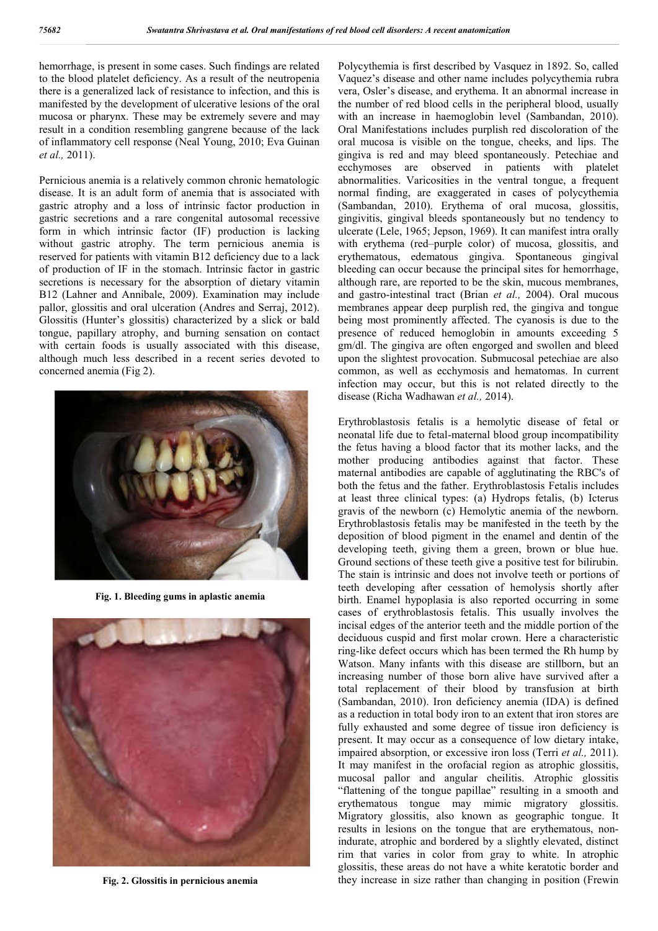hemorrhage, is present in some cases. Such findings are related to the blood platelet deficiency. As a result of the neutropenia there is a generalized lack of resistance to infection, and this is manifested by the development of ulcerative lesions of the oral mucosa or pharynx. These may be extremely severe and may result in a condition resembling gangrene because of the lack of inflammatory cell response (Neal Young, 2010; Eva Guinan *et al.,* 2011).

Pernicious anemia is a relatively common chronic hematologic disease. It is an adult form of anemia that is associated with gastric atrophy and a loss of intrinsic factor production in gastric secretions and a rare congenital autosomal recessive form in which intrinsic factor (IF) production is lacking without gastric atrophy. The term pernicious anemia is reserved for patients with vitamin B12 deficiency due to a lack of production of IF in the stomach. Intrinsic factor in gastric secretions is necessary for the absorption of dietary vitamin B12 (Lahner and Annibale, 2009). Examination may include pallor, glossitis and oral ulceration (Andres and Serraj, 2012). Glossitis (Hunter's glossitis) characterized by a slick or bald tongue, papillary atrophy, and burning sensation on contact with certain foods is usually associated with this disease, although much less described in a recent series devoted to concerned anemia (Fig 2).



**Fig. 1. Bleeding gums in aplastic anemia**



**Fig. 2. Glossitis in pernicious anemia**

Polycythemia is first described by Vasquez in 1892. So, called Vaquez's disease and other name includes polycythemia rubra vera, Osler's disease, and erythema. It an abnormal increase in the number of red blood cells in the peripheral blood, usually with an increase in haemoglobin level (Sambandan, 2010). Oral Manifestations includes purplish red discoloration of the oral mucosa is visible on the tongue, cheeks, and lips. The gingiva is red and may bleed spontaneously. Petechiae and ecchymoses are observed in patients with platelet abnormalities. Varicosities in the ventral tongue, a frequent normal finding, are exaggerated in cases of polycythemia (Sambandan, 2010). Erythema of oral mucosa, glossitis, gingivitis, gingival bleeds spontaneously but no tendency to ulcerate (Lele, 1965; Jepson, 1969). It can manifest intra orally with erythema (red–purple color) of mucosa, glossitis, and erythematous, edematous gingiva. Spontaneous gingival bleeding can occur because the principal sites for hemorrhage, although rare, are reported to be the skin, mucous membranes, and gastro-intestinal tract (Brian *et al.,* 2004). Oral mucous membranes appear deep purplish red, the gingiva and tongue being most prominently affected. The cyanosis is due to the presence of reduced hemoglobin in amounts exceeding 5 gm/dl. The gingiva are often engorged and swollen and bleed upon the slightest provocation. Submucosal petechiae are also common, as well as ecchymosis and hematomas. In current infection may occur, but this is not related directly to the disease (Richa Wadhawan *et al.,* 2014).

Erythroblastosis fetalis is a hemolytic disease of fetal or neonatal life due to fetal-maternal blood group incompatibility the fetus having a blood factor that its mother lacks, and the mother producing antibodies against that factor. These maternal antibodies are capable of agglutinating the RBC's of both the fetus and the father. Erythroblastosis Fetalis includes at least three clinical types: (a) Hydrops fetalis, (b) Icterus gravis of the newborn (c) Hemolytic anemia of the newborn. Erythroblastosis fetalis may be manifested in the teeth by the deposition of blood pigment in the enamel and dentin of the developing teeth, giving them a green, brown or blue hue. Ground sections of these teeth give a positive test for bilirubin. The stain is intrinsic and does not involve teeth or portions of teeth developing after cessation of hemolysis shortly after birth. Enamel hypoplasia is also reported occurring in some cases of erythroblastosis fetalis. This usually involves the incisal edges of the anterior teeth and the middle portion of the deciduous cuspid and first molar crown. Here a characteristic ring-like defect occurs which has been termed the Rh hump by Watson. Many infants with this disease are stillborn, but an increasing number of those born alive have survived after a total replacement of their blood by transfusion at birth (Sambandan, 2010). Iron deficiency anemia (IDA) is defined as a reduction in total body iron to an extent that iron stores are fully exhausted and some degree of tissue iron deficiency is present. It may occur as a consequence of low dietary intake, impaired absorption, or excessive iron loss (Terri *et al.,* 2011). It may manifest in the orofacial region as atrophic glossitis, mucosal pallor and angular cheilitis. Atrophic glossitis "flattening of the tongue papillae" resulting in a smooth and erythematous tongue may mimic migratory glossitis. Migratory glossitis, also known as geographic tongue. It results in lesions on the tongue that are erythematous, nonindurate, atrophic and bordered by a slightly elevated, distinct rim that varies in color from gray to white. In atrophic glossitis, these areas do not have a white keratotic border and they increase in size rather than changing in position (Frewin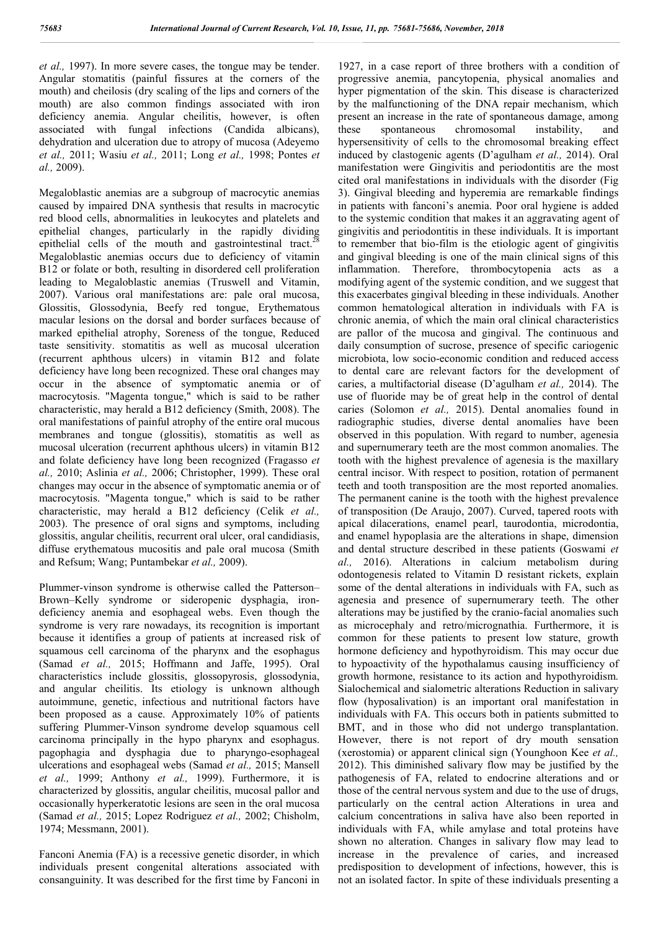*et al.,* 1997). In more severe cases, the tongue may be tender. Angular stomatitis (painful fissures at the corners of the mouth) and cheilosis (dry scaling of the lips and corners of the mouth) are also common findings associated with iron deficiency anemia. Angular cheilitis, however, is often associated with fungal infections (Candida albicans), dehydration and ulceration due to atropy of mucosa (Adeyemo *et al.,* 2011; Wasiu *et al.,* 2011; Long *et al.,* 1998; Pontes *et al.,* 2009).

Megaloblastic anemias are a subgroup of macrocytic anemias caused by impaired DNA synthesis that results in macrocytic red blood cells, abnormalities in leukocytes and platelets and epithelial changes, particularly in the rapidly dividing epithelial cells of the mouth and gastrointestinal tract.<sup>27</sup> Megaloblastic anemias occurs due to deficiency of vitamin B12 or folate or both, resulting in disordered cell proliferation leading to Megaloblastic anemias (Truswell and Vitamin, 2007). Various oral manifestations are: pale oral mucosa, Glossitis, Glossodynia, Beefy red tongue, Erythematous macular lesions on the dorsal and border surfaces because of marked epithelial atrophy, Soreness of the tongue, Reduced taste sensitivity. stomatitis as well as mucosal ulceration (recurrent aphthous ulcers) in vitamin B12 and folate deficiency have long been recognized. These oral changes may occur in the absence of symptomatic anemia or of macrocytosis. "Magenta tongue," which is said to be rather characteristic, may herald a B12 deficiency (Smith, 2008). The oral manifestations of painful atrophy of the entire oral mucous membranes and tongue (glossitis), stomatitis as well as mucosal ulceration (recurrent aphthous ulcers) in vitamin B12 and folate deficiency have long been recognized (Fragasso *et al.,* 2010; Aslinia *et al.,* 2006; Christopher, 1999). These oral changes may occur in the absence of symptomatic anemia or of macrocytosis. "Magenta tongue," which is said to be rather characteristic, may herald a B12 deficiency (Celik *et al.,*  2003). The presence of oral signs and symptoms, including glossitis, angular cheilitis, recurrent oral ulcer, oral candidiasis, diffuse erythematous mucositis and pale oral mucosa (Smith and Refsum; Wang; Puntambekar *et al.,* 2009).

Plummer-vinson syndrome is otherwise called the Patterson– Brown–Kelly syndrome or sideropenic dysphagia, irondeficiency anemia and esophageal webs. Even though the syndrome is very rare nowadays, its recognition is important because it identifies a group of patients at increased risk of squamous cell carcinoma of the pharynx and the esophagus (Samad *et al.,* 2015; Hoffmann and Jaffe, 1995). Oral characteristics include glossitis, glossopyrosis, glossodynia, and angular cheilitis. Its etiology is unknown although autoimmune, genetic, infectious and nutritional factors have been proposed as a cause. Approximately 10% of patients suffering Plummer-Vinson syndrome develop squamous cell carcinoma principally in the hypo pharynx and esophagus. pagophagia and dysphagia due to pharyngo-esophageal ulcerations and esophageal webs (Samad *et al.,* 2015; Mansell *et al.,* 1999; Anthony *et al.,* 1999). Furthermore, it is characterized by glossitis, angular cheilitis, mucosal pallor and occasionally hyperkeratotic lesions are seen in the oral mucosa (Samad *et al.,* 2015; Lopez Rodriguez *et al.,* 2002; Chisholm, 1974; Messmann, 2001).

Fanconi Anemia (FA) is a recessive genetic disorder, in which individuals present congenital alterations associated with consanguinity. It was described for the first time by Fanconi in

1927, in a case report of three brothers with a condition of progressive anemia, pancytopenia, physical anomalies and hyper pigmentation of the skin. This disease is characterized by the malfunctioning of the DNA repair mechanism, which present an increase in the rate of spontaneous damage, among these spontaneous chromosomal instability, and hypersensitivity of cells to the chromosomal breaking effect induced by clastogenic agents (D'agulham *et al.,* 2014). Oral manifestation were Gingivitis and periodontitis are the most cited oral manifestations in individuals with the disorder (Fig 3). Gingival bleeding and hyperemia are remarkable findings in patients with fanconi's anemia. Poor oral hygiene is added to the systemic condition that makes it an aggravating agent of gingivitis and periodontitis in these individuals. It is important to remember that bio-film is the etiologic agent of gingivitis and gingival bleeding is one of the main clinical signs of this inflammation. Therefore, thrombocytopenia acts as a modifying agent of the systemic condition, and we suggest that this exacerbates gingival bleeding in these individuals. Another common hematological alteration in individuals with FA is chronic anemia, of which the main oral clinical characteristics are pallor of the mucosa and gingival. The continuous and daily consumption of sucrose, presence of specific cariogenic microbiota, low socio-economic condition and reduced access to dental care are relevant factors for the development of caries, a multifactorial disease (D'agulham *et al.,* 2014). The use of fluoride may be of great help in the control of dental caries (Solomon *et al.,* 2015). Dental anomalies found in radiographic studies, diverse dental anomalies have been observed in this population. With regard to number, agenesia and supernumerary teeth are the most common anomalies. The tooth with the highest prevalence of agenesia is the maxillary central incisor. With respect to position, rotation of permanent teeth and tooth transposition are the most reported anomalies. The permanent canine is the tooth with the highest prevalence of transposition (De Araujo, 2007). Curved, tapered roots with apical dilacerations, enamel pearl, taurodontia, microdontia, and enamel hypoplasia are the alterations in shape, dimension and dental structure described in these patients (Goswami *et al.,* 2016). Alterations in calcium metabolism during odontogenesis related to Vitamin D resistant rickets, explain some of the dental alterations in individuals with FA, such as agenesia and presence of supernumerary teeth. The other alterations may be justified by the cranio-facial anomalies such as microcephaly and retro/micrognathia. Furthermore, it is common for these patients to present low stature, growth hormone deficiency and hypothyroidism. This may occur due to hypoactivity of the hypothalamus causing insufficiency of growth hormone, resistance to its action and hypothyroidism. Sialochemical and sialometric alterations Reduction in salivary flow (hyposalivation) is an important oral manifestation in individuals with FA. This occurs both in patients submitted to BMT, and in those who did not undergo transplantation. However, there is not report of dry mouth sensation (xerostomia) or apparent clinical sign (Younghoon Kee *et al.,*  2012). This diminished salivary flow may be justified by the pathogenesis of FA, related to endocrine alterations and or those of the central nervous system and due to the use of drugs, particularly on the central action Alterations in urea and calcium concentrations in saliva have also been reported in individuals with FA, while amylase and total proteins have shown no alteration. Changes in salivary flow may lead to increase in the prevalence of caries, and increased predisposition to development of infections, however, this is not an isolated factor. In spite of these individuals presenting a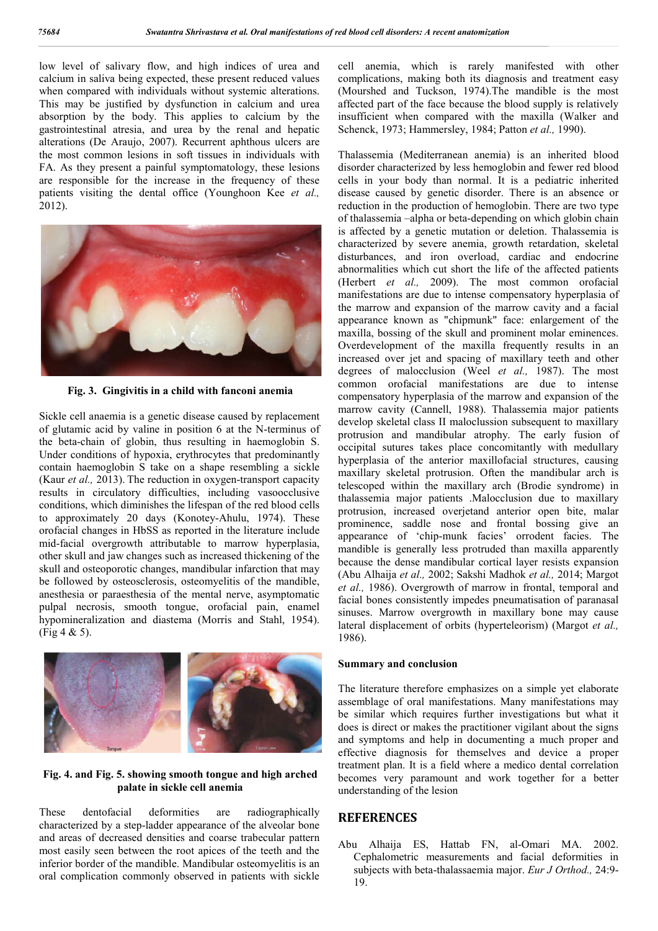low level of salivary flow, and high indices of urea and calcium in saliva being expected, these present reduced values when compared with individuals without systemic alterations. This may be justified by dysfunction in calcium and urea absorption by the body. This applies to calcium by the gastrointestinal atresia, and urea by the renal and hepatic alterations (De Araujo, 2007). Recurrent aphthous ulcers are the most common lesions in soft tissues in individuals with FA. As they present a painful symptomatology, these lesions are responsible for the increase in the frequency of these patients visiting the dental office (Younghoon Kee *et al.,*  2012).



**Fig. 3. Gingivitis in a child with fanconi anemia**

Sickle cell anaemia is a genetic disease caused by replacement of glutamic acid by valine in position 6 at the N-terminus of the beta-chain of globin, thus resulting in haemoglobin S. Under conditions of hypoxia, erythrocytes that predominantly contain haemoglobin S take on a shape resembling a sickle (Kaur *et al.,* 2013). The reduction in oxygen-transport capacity results in circulatory difficulties, including vasoocclusive conditions, which diminishes the lifespan of the red blood cells to approximately 20 days (Konotey-Ahulu, 1974). These orofacial changes in HbSS as reported in the literature include mid-facial overgrowth attributable to marrow hyperplasia, other skull and jaw changes such as increased thickening of the skull and osteoporotic changes, mandibular infarction that may be followed by osteosclerosis, osteomyelitis of the mandible, anesthesia or paraesthesia of the mental nerve, asymptomatic pulpal necrosis, smooth tongue, orofacial pain, enamel hypomineralization and diastema (Morris and Stahl, 1954). (Fig 4 & 5).



#### **Fig. 4. and Fig. 5. showing smooth tongue and high arched palate in sickle cell anemia**

These dentofacial deformities are radiographically characterized by a step-ladder appearance of the alveolar bone and areas of decreased densities and coarse trabecular pattern most easily seen between the root apices of the teeth and the inferior border of the mandible. Mandibular osteomyelitis is an oral complication commonly observed in patients with sickle

cell anemia, which is rarely manifested with other complications, making both its diagnosis and treatment easy (Mourshed and Tuckson, 1974).The mandible is the most affected part of the face because the blood supply is relatively insufficient when compared with the maxilla (Walker and Schenck, 1973; Hammersley, 1984; Patton *et al.,* 1990).

Thalassemia (Mediterranean anemia) is an inherited blood disorder characterized by less hemoglobin and fewer red blood cells in your body than normal. It is a pediatric inherited disease caused by genetic disorder. There is an absence or reduction in the production of hemoglobin. There are two type of thalassemia –alpha or beta-depending on which globin chain is affected by a genetic mutation or deletion. Thalassemia is characterized by severe anemia, growth retardation, skeletal disturbances, and iron overload, cardiac and endocrine abnormalities which cut short the life of the affected patients (Herbert *et al.,* 2009). The most common orofacial manifestations are due to intense compensatory hyperplasia of the marrow and expansion of the marrow cavity and a facial appearance known as "chipmunk" face: enlargement of the maxilla, bossing of the skull and prominent molar eminences. Overdevelopment of the maxilla frequently results in an increased over jet and spacing of maxillary teeth and other degrees of malocclusion (Weel *et al.,* 1987). The most common orofacial manifestations are due to intense compensatory hyperplasia of the marrow and expansion of the marrow cavity (Cannell, 1988). Thalassemia major patients develop skeletal class II maloclussion subsequent to maxillary protrusion and mandibular atrophy. The early fusion of occipital sutures takes place concomitantly with medullary hyperplasia of the anterior maxillofacial structures, causing maxillary skeletal protrusion. Often the mandibular arch is telescoped within the maxillary arch (Brodie syndrome) in thalassemia major patients .Malocclusion due to maxillary protrusion, increased overjetand anterior open bite, malar prominence, saddle nose and frontal bossing give an appearance of 'chip-munk facies' orrodent facies. The mandible is generally less protruded than maxilla apparently because the dense mandibular cortical layer resists expansion (Abu Alhaija *et al.,* 2002; Sakshi Madhok *et al.,* 2014; Margot *et al.,* 1986). Overgrowth of marrow in frontal, temporal and facial bones consistently impedes pneumatisation of paranasal sinuses. Marrow overgrowth in maxillary bone may cause lateral displacement of orbits (hyperteleorism) (Margot *et al.,*  1986).

#### **Summary and conclusion**

The literature therefore emphasizes on a simple yet elaborate assemblage of oral manifestations. Many manifestations may be similar which requires further investigations but what it does is direct or makes the practitioner vigilant about the signs and symptoms and help in documenting a much proper and effective diagnosis for themselves and device a proper treatment plan. It is a field where a medico dental correlation becomes very paramount and work together for a better understanding of the lesion

### **REFERENCES**

Abu Alhaija ES, Hattab FN, al-Omari MA. 2002. Cephalometric measurements and facial deformities in subjects with beta-thalassaemia major. *Eur J Orthod.,* 24:9- 19.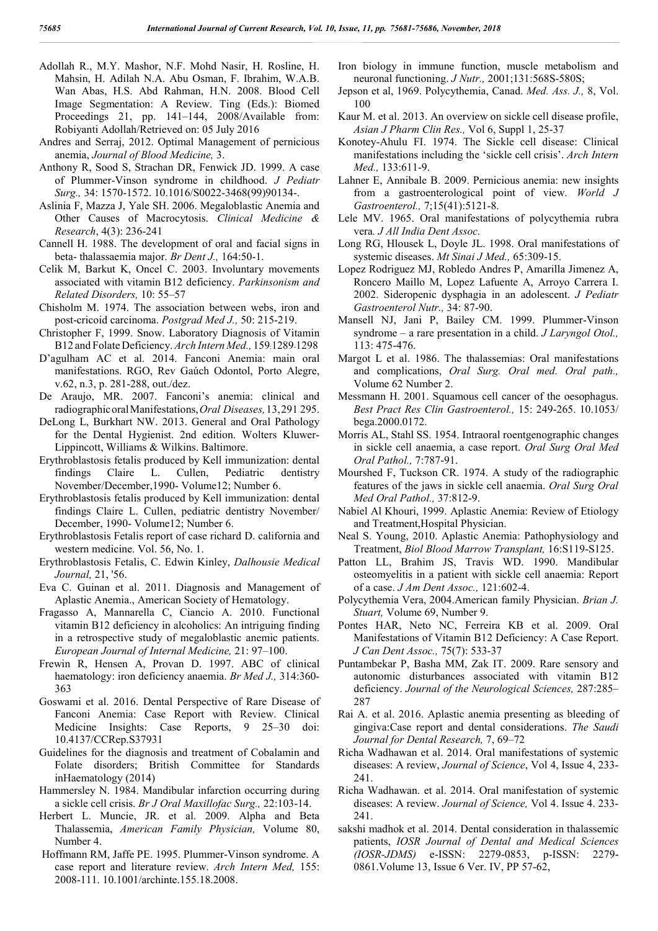- Adollah R., M.Y. Mashor, N.F. Mohd Nasir, H. Rosline, H. Mahsin, H. Adilah N.A. Abu Osman, F. Ibrahim, W.A.B. Wan Abas, H.S. Abd Rahman, H.N. 2008. Blood Cell Image Segmentation: A Review. Ting (Eds.): Biomed Proceedings 21, pp. 141–144, 2008/Available from: Robiyanti Adollah/Retrieved on: 05 July 2016
- Andres and Serraj, 2012. Optimal Management of pernicious anemia, *Journal of Blood Medicine,* 3.
- Anthony R, Sood S, Strachan DR, Fenwick JD. 1999. A case of Plummer-Vinson syndrome in childhood. *J Pediatr Surg.,* 34: 1570-1572. 10.1016/S0022-3468(99)90134-.
- Aslinia F, Mazza J, Yale SH. 2006. Megaloblastic Anemia and Other Causes of Macrocytosis. *Clinical Medicine & Research*, 4(3): 236-241
- Cannell H. 1988. The development of oral and facial signs in beta- thalassaemia major. *Br Dent J.,* 164:50-1.
- Celik M, Barkut K, Oncel C. 2003. Involuntary movements associated with vitamin B12 deficiency. *Parkinsonism and Related Disorders,* 10: 55–57
- Chisholm M. 1974. The association between webs, iron and post-cricoid carcinoma. *Postgrad Med J.,* 50: 215-219.
- Christopher F, 1999. Snow. Laboratory Diagnosis of Vitamin B12 and Folate Deficiency. *Arch Intern Med.,* 159:1289-1298
- D'agulham AC et al. 2014. Fanconi Anemia: main oral manifestations. RGO, Rev Gaúch Odontol, Porto Alegre, v.62, n.3, p. 281-288, out./dez.
- De Araujo, MR. 2007. Fanconi's anemia: clinical and radiographicoralManifestations,*Oral Diseases,*13,291–295.
- DeLong L, Burkhart NW. 2013. General and Oral Pathology for the Dental Hygienist. 2nd edition. Wolters Kluwer-Lippincott, Williams & Wilkins. Baltimore.
- Erythroblastosis fetalis produced by Kell immunization: dental findings Claire L. Cullen, Pediatric dentistry November/December,1990- Volume12; Number 6.
- Erythroblastosis fetalis produced by Kell immunization: dental findings Claire L. Cullen, pediatric dentistry November/ December, 1990- Volume12; Number 6.
- Erythroblastosis Fetalis report of case richard D. california and western medicine. Vol. 56, No. 1.
- Erythroblastosis Fetalis, C. Edwin Kinley, *Dalhousie Medical Journal,* 21, '56.
- Eva C. Guinan et al. 2011. Diagnosis and Management of Aplastic Anemia., American Society of Hematology.
- Fragasso A, Mannarella C, Ciancio A. 2010. Functional vitamin B12 deficiency in alcoholics: An intriguing finding in a retrospective study of megaloblastic anemic patients. *European Journal of Internal Medicine,* 21: 97–100.
- Frewin R, Hensen A, Provan D. 1997. ABC of clinical haematology: iron deficiency anaemia. *Br Med J.,* 314:360- 363
- Goswami et al. 2016. Dental Perspective of Rare Disease of Fanconi Anemia: Case Report with Review. Clinical Medicine Insights: Case Reports, 9 25–30 doi: 10.4137/CCRep.S37931
- Guidelines for the diagnosis and treatment of Cobalamin and Folate disorders; British Committee for Standards inHaematology (2014)
- Hammersley N. 1984. Mandibular infarction occurring during a sickle cell crisis. *Br J Oral Maxillofac Surg.,* 22:103-14.
- Herbert L. Muncie, JR. et al. 2009. Alpha and Beta Thalassemia, *American Family Physician,* Volume 80, Number 4.
- Hoffmann RM, Jaffe PE. 1995. Plummer-Vinson syndrome. A case report and literature review. *Arch Intern Med,* 155: 2008-111. 10.1001/archinte.155.18.2008.
- Iron biology in immune function, muscle metabolism and neuronal functioning. *J Nutr.,* 2001;131:568S-580S;
- Jepson et al, 1969. Polycythemia, Canad. *Med. Ass. J.,* 8, Vol. 100
- Kaur M. et al. 2013. An overview on sickle cell disease profile, *Asian J Pharm Clin Res.,* Vol 6, Suppl 1, 25-37
- Konotey-Ahulu FI. 1974. The Sickle cell disease: Clinical manifestations including the 'sickle cell crisis'. *Arch Intern Med.,* 133:611-9.
- Lahner E, Annibale B. 2009. Pernicious anemia: new insights from a gastroenterological point of view. *World J Gastroenterol.,* 7;15(41):5121-8.
- Lele MV. 1965. Oral manifestations of polycythemia rubra vera*. J All India Dent Assoc.*
- Long RG, Hlousek L, Doyle JL. 1998. Oral manifestations of systemic diseases. *Mt Sinai J Med.,* 65:309-15.
- Lopez Rodriguez MJ, Robledo Andres P, Amarilla Jimenez A, Roncero Maillo M, Lopez Lafuente A, Arroyo Carrera I. 2002. Sideropenic dysphagia in an adolescent. *J Pediatr Gastroenterol Nutr.,* 34: 87-90.
- Mansell NJ, Jani P, Bailey CM. 1999. Plummer-Vinson syndrome – a rare presentation in a child. *J Laryngol Otol.,* 113: 475-476.
- Margot L et al. 1986. The thalassemias: Oral manifestations and complications, *Oral Surg. Oral med. Oral path.,* Volume 62 Number 2.
- Messmann H. 2001. Squamous cell cancer of the oesophagus. *Best Pract Res Clin Gastroenterol.,* 15: 249-265. 10.1053/ bega.2000.0172.
- Morris AL, Stahl SS. 1954. Intraoral roentgenographic changes in sickle cell anaemia, a case report. *Oral Surg Oral Med Oral Pathol.,* 7:787-91.
- Mourshed F, Tuckson CR. 1974. A study of the radiographic features of the jaws in sickle cell anaemia. *Oral Surg Oral Med Oral Pathol.,* 37:812-9.
- Nabiel Al Khouri, 1999. Aplastic Anemia: Review of Etiology and Treatment,Hospital Physician.
- Neal S. Young, 2010. Aplastic Anemia: Pathophysiology and Treatment, *Biol Blood Marrow Transplant,* 16:S119-S125.
- Patton LL, Brahim JS, Travis WD. 1990. Mandibular osteomyelitis in a patient with sickle cell anaemia: Report of a case. *J Am Dent Assoc.,* 121:602-4.
- Polycythemia Vera, 2004.American family Physician. *Brian J. Stuart,* Volume 69, Number 9.
- Pontes HAR, Neto NC, Ferreira KB et al. 2009. Oral Manifestations of Vitamin B12 Deficiency: A Case Report. *J Can Dent Assoc.,* 75(7): 533-37
- Puntambekar P, Basha MM, Zak IT. 2009. Rare sensory and autonomic disturbances associated with vitamin B12 deficiency. *Journal of the Neurological Sciences,* 287:285– 287
- Rai A. et al. 2016. Aplastic anemia presenting as bleeding of gingiva:Case report and dental considerations. *The Saudi Journal for Dental Research,* 7, 69–72
- Richa Wadhawan et al. 2014. Oral manifestations of systemic diseases: A review, *Journal of Science*, Vol 4, Issue 4, 233- 241.
- Richa Wadhawan. et al. 2014. Oral manifestation of systemic diseases: A review. *Journal of Science,* Vol 4. Issue 4. 233- 241.
- sakshi madhok et al. 2014. Dental consideration in thalassemic patients, *IOSR Journal of Dental and Medical Sciences (IOSR-JDMS)* e-ISSN: 2279-0853, p-ISSN: 2279- 0861.Volume 13, Issue 6 Ver. IV, PP 57-62,